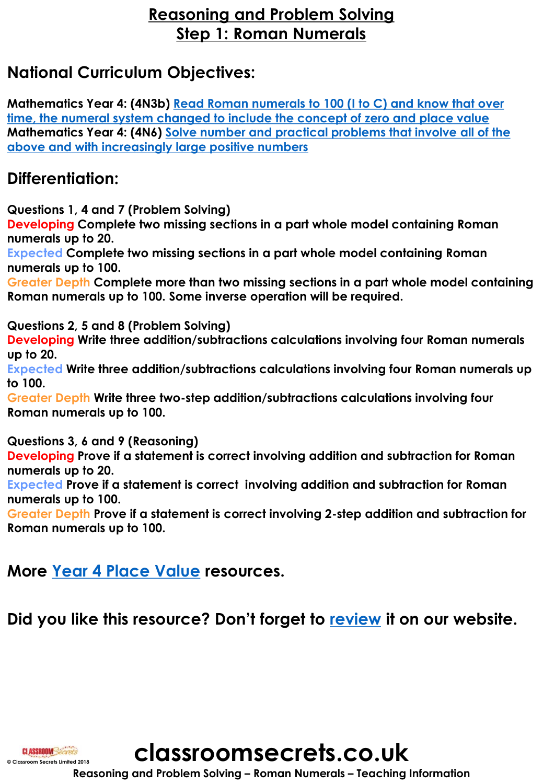## **Reasoning and Problem Solving Step 1: Roman Numerals**

# **National Curriculum Objectives:**

**Mathematics Year 4: (4N3b) Read Roman numerals to 100 (I to C) and know that over [time, the numeral system changed to include the concept of zero and place value](https://classroomsecrets.co.uk/content-domain-filter/?fwp_contentdomain=4n3b) [Mathematics Year 4: \(4N6\) Solve number and practical problems that involve all of](https://classroomsecrets.co.uk/content-domain-filter/?fwp_contentdomain=4n6) the above and with increasingly large positive numbers**

### **Differentiation:**

**Questions 1, 4 and 7 (Problem Solving)**

**Developing Complete two missing sections in a part whole model containing Roman numerals up to 20.**

**Expected Complete two missing sections in a part whole model containing Roman numerals up to 100.**

**Greater Depth Complete more than two missing sections in a part whole model containing Roman numerals up to 100. Some inverse operation will be required.**

**Questions 2, 5 and 8 (Problem Solving)**

**Developing Write three addition/subtractions calculations involving four Roman numerals up to 20.** 

**Expected Write three addition/subtractions calculations involving four Roman numerals up to 100.** 

**Greater Depth Write three two-step addition/subtractions calculations involving four Roman numerals up to 100.**

**Questions 3, 6 and 9 (Reasoning)**

**Developing Prove if a statement is correct involving addition and subtraction for Roman numerals up to 20.**

**Expected Prove if a statement is correct involving addition and subtraction for Roman numerals up to 100.**

**Greater Depth Prove if a statement is correct involving 2-step addition and subtraction for Roman numerals up to 100.**

## **More [Year 4 Place Value](https://classroomsecrets.co.uk/category/maths/year-4/autumn-block-1-place-value-year-4/) resources.**

**Did you like this resource? Don't forget to [review](https://classroomsecrets.co.uk/roman-numerals-year-4-place-value-free-resource-pack) it on our website.**



**classroomsecrets.co.uk**

**Reasoning and Problem Solving – Roman Numerals – Teaching Information**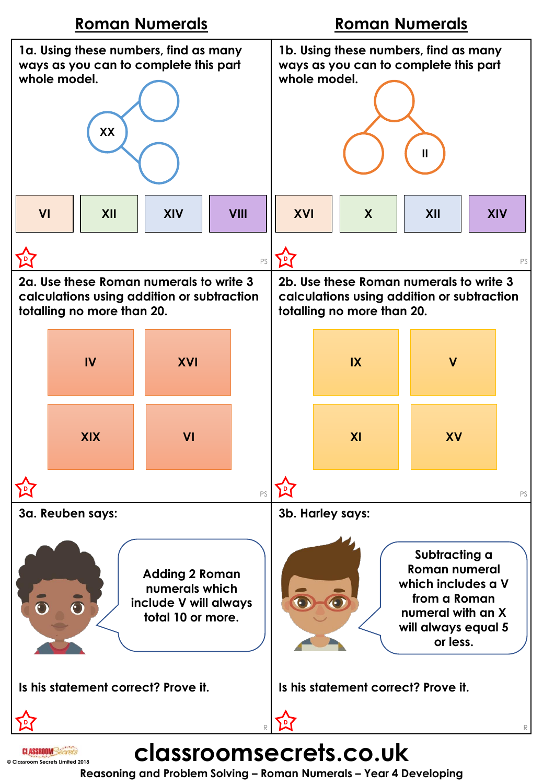

**Reasoning and Problem Solving – Roman Numerals – Year 4 Developing**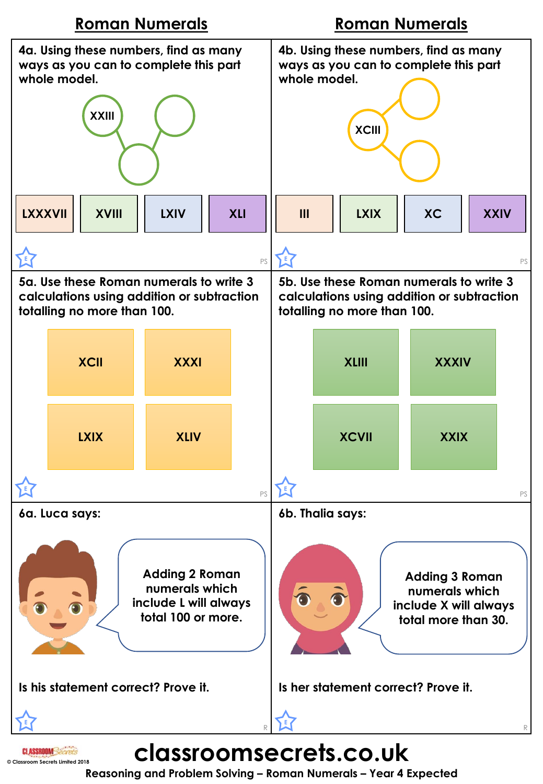

**Reasoning and Problem Solving – Roman Numerals – Year 4 Expected**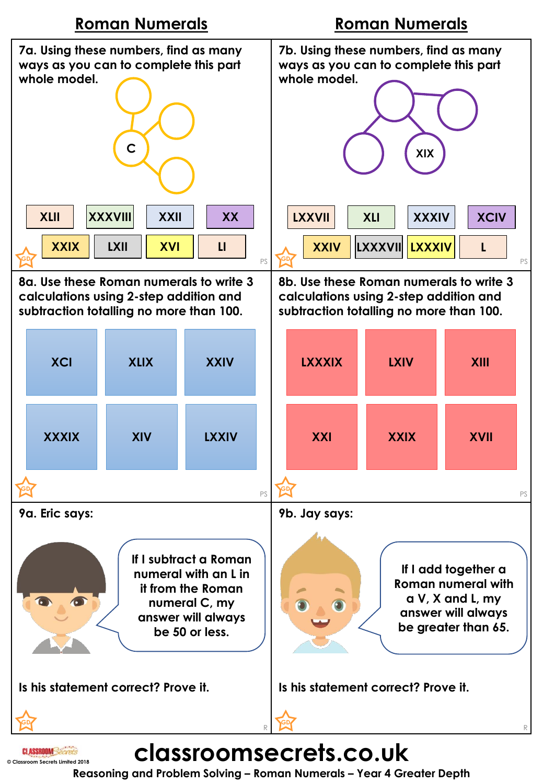

**Reasoning and Problem Solving – Roman Numerals – Year 4 Greater Depth**